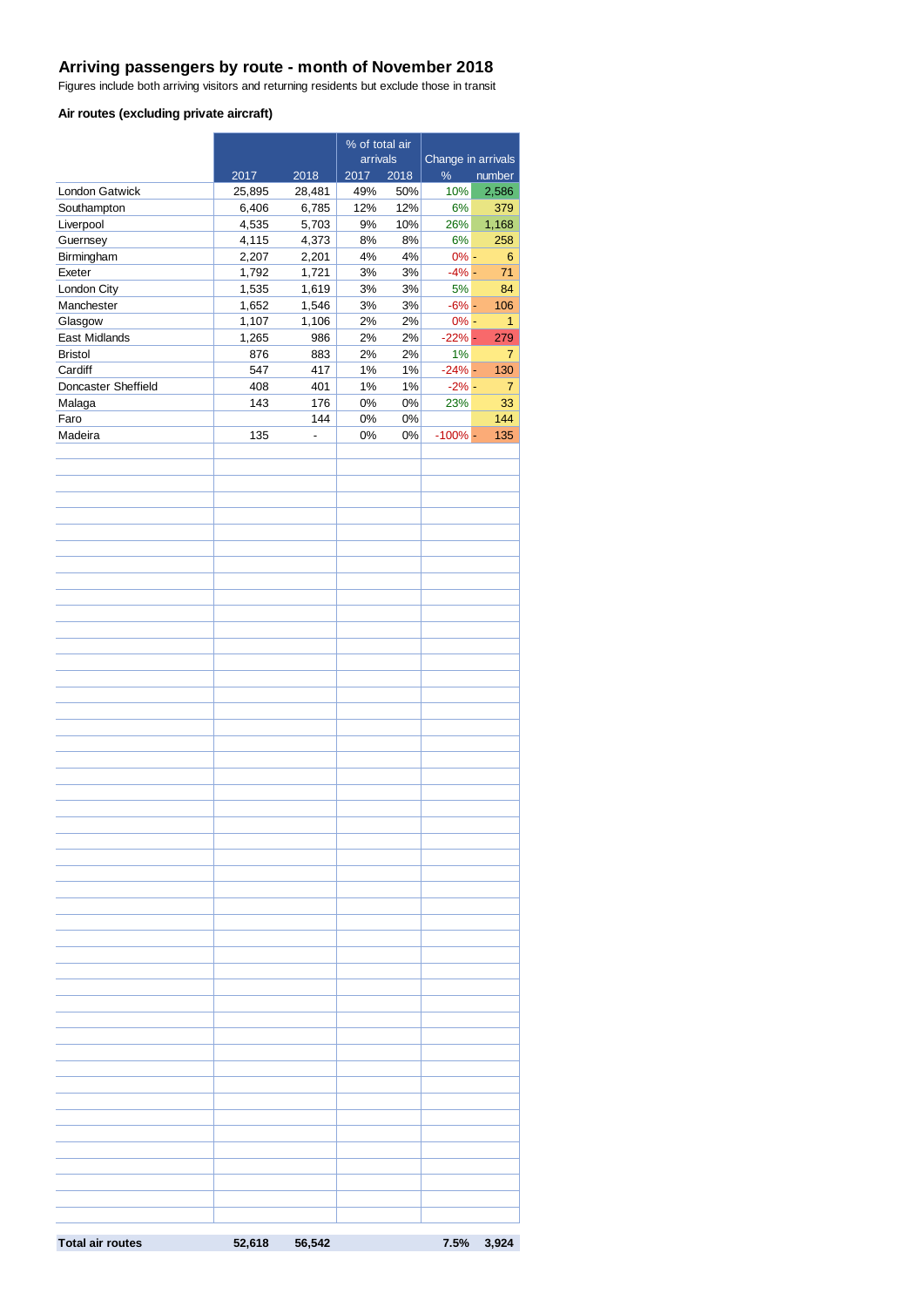# **Arriving passengers by route - month of November 2018**

Figures include both arriving visitors and returning residents but exclude those in transit

#### **Air routes (excluding private aircraft)**

|                         |        | % of total air           |          |       |                    |                |
|-------------------------|--------|--------------------------|----------|-------|--------------------|----------------|
|                         |        |                          | arrivals |       | Change in arrivals |                |
|                         | 2017   | 2018                     | 2017     | 2018  | $\%$               | number         |
| London Gatwick          | 25,895 | 28,481                   | 49%      | 50%   | 10%                | 2,586          |
| Southampton             | 6,406  | 6,785                    | 12%      | 12%   | 6%                 | 379            |
| Liverpool               | 4,535  | 5,703                    | 9%       | 10%   | 26%                | 1,168          |
| Guernsey                | 4,115  | 4,373                    | 8%       | 8%    | 6%                 | 258            |
| Birmingham              | 2,207  | 2,201                    | 4%       | 4%    | $0% -$             | 6              |
| Exeter                  | 1,792  | 1,721                    | 3%       | $3%$  | $-4% -$            | 71             |
| London City             | 1,535  | 1,619                    | 3%       | 3%    | 5%                 | 84             |
| Manchester              | 1,652  | 1,546                    | 3%       | 3%    | $-6%$ -            | 106            |
| Glasgow                 | 1,107  | 1,106                    | 2%       | 2%    | $0% -$             | 1              |
| East Midlands           | 1,265  | 986                      | 2%       | 2%    | $-22%$ -           | 279            |
| <b>Bristol</b>          | 876    | 883                      | 2%       | 2%    | 1%                 | $\overline{7}$ |
| Cardiff                 | 547    | 417                      | 1%       | 1%    | $-24%$ -           | 130            |
| Doncaster Sheffield     | 408    | 401                      | 1%       | 1%    | $-2\%$ -           | 7              |
| Malaga                  | 143    | 176                      | $0\%$    | 0%    | 23%                | 33             |
| Faro                    |        | 144                      | 0%       | $0\%$ |                    | 144            |
| Madeira                 | 135    | $\overline{\phantom{a}}$ | 0%       | 0%    | $-100\%$ -         | 135            |
|                         |        |                          |          |       |                    |                |
|                         |        |                          |          |       |                    |                |
|                         |        |                          |          |       |                    |                |
|                         |        |                          |          |       |                    |                |
|                         |        |                          |          |       |                    |                |
|                         |        |                          |          |       |                    |                |
|                         |        |                          |          |       |                    |                |
|                         |        |                          |          |       |                    |                |
|                         |        |                          |          |       |                    |                |
|                         |        |                          |          |       |                    |                |
|                         |        |                          |          |       |                    |                |
|                         |        |                          |          |       |                    |                |
|                         |        |                          |          |       |                    |                |
|                         |        |                          |          |       |                    |                |
|                         |        |                          |          |       |                    |                |
|                         |        |                          |          |       |                    |                |
|                         |        |                          |          |       |                    |                |
|                         |        |                          |          |       |                    |                |
|                         |        |                          |          |       |                    |                |
|                         |        |                          |          |       |                    |                |
|                         |        |                          |          |       |                    |                |
|                         |        |                          |          |       |                    |                |
|                         |        |                          |          |       |                    |                |
|                         |        |                          |          |       |                    |                |
|                         |        |                          |          |       |                    |                |
|                         |        |                          |          |       |                    |                |
|                         |        |                          |          |       |                    |                |
|                         |        |                          |          |       |                    |                |
|                         |        |                          |          |       |                    |                |
|                         |        |                          |          |       |                    |                |
|                         |        |                          |          |       |                    |                |
|                         |        |                          |          |       |                    |                |
|                         |        |                          |          |       |                    |                |
|                         |        |                          |          |       |                    |                |
|                         |        |                          |          |       |                    |                |
|                         |        |                          |          |       |                    |                |
|                         |        |                          |          |       |                    |                |
|                         |        |                          |          |       |                    |                |
|                         |        |                          |          |       |                    |                |
|                         |        |                          |          |       |                    |                |
|                         |        |                          |          |       |                    |                |
|                         |        |                          |          |       |                    |                |
|                         |        |                          |          |       |                    |                |
|                         |        |                          |          |       |                    |                |
|                         |        |                          |          |       |                    |                |
|                         |        |                          |          |       |                    |                |
|                         |        |                          |          |       |                    |                |
|                         |        |                          |          |       |                    |                |
|                         |        |                          |          |       |                    |                |
|                         |        |                          |          |       |                    |                |
| <b>Total air routes</b> | 52,618 | 56,542                   |          |       |                    | 7.5% 3,924     |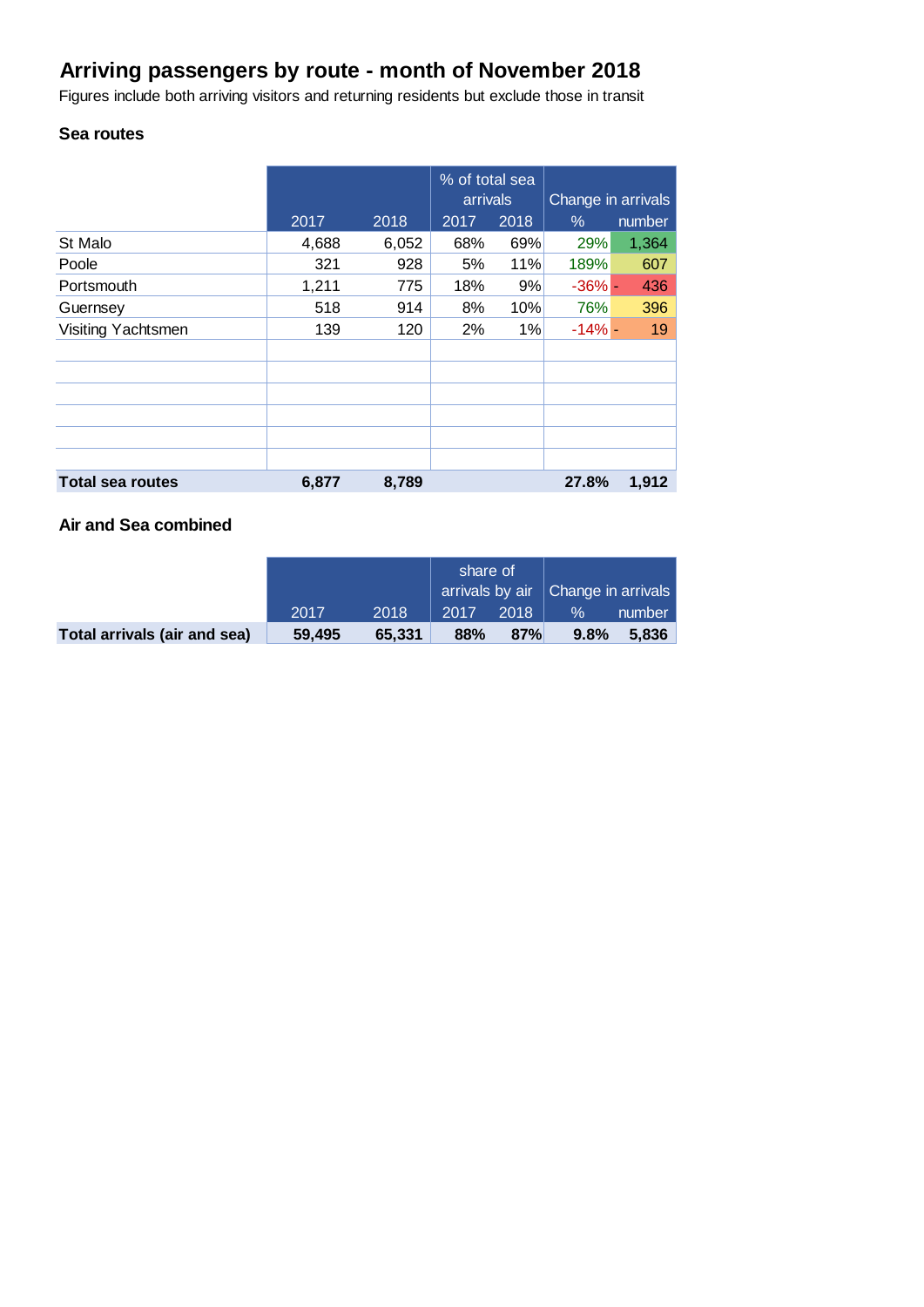# **Arriving passengers by route - month of November 2018**

Figures include both arriving visitors and returning residents but exclude those in transit

# **Sea routes**

|                         |       |       | % of total sea<br>arrivals |      | Change in arrivals |        |
|-------------------------|-------|-------|----------------------------|------|--------------------|--------|
|                         | 2017  | 2018  | 2017                       | 2018 | %                  | number |
| St Malo                 | 4,688 | 6,052 | 68%                        | 69%  | 29%                | 1,364  |
| Poole                   | 321   | 928   | 5%                         | 11%  | 189%               | 607    |
| Portsmouth              | 1,211 | 775   | 18%                        | 9%   | $-36% -$           | 436    |
| Guernsey                | 518   | 914   | 8%                         | 10%  | 76%                | 396    |
| Visiting Yachtsmen      | 139   | 120   | 2%                         | 1%   | $-14% -$           | 19     |
|                         |       |       |                            |      |                    |        |
|                         |       |       |                            |      |                    |        |
|                         |       |       |                            |      |                    |        |
|                         |       |       |                            |      |                    |        |
|                         |       |       |                            |      |                    |        |
|                         |       |       |                            |      |                    |        |
| <b>Total sea routes</b> | 6,877 | 8,789 |                            |      | 27.8%              | 1,912  |

# **Air and Sea combined**

|                              |        |        | share of |      | arrivals by air   Change in arrivals |        |
|------------------------------|--------|--------|----------|------|--------------------------------------|--------|
|                              | 2017   | 2018   | 2017     | 2018 | $\%$                                 | number |
| Total arrivals (air and sea) | 59.495 | 65.331 | 88%      | 87%  | 9.8%                                 | 5.836  |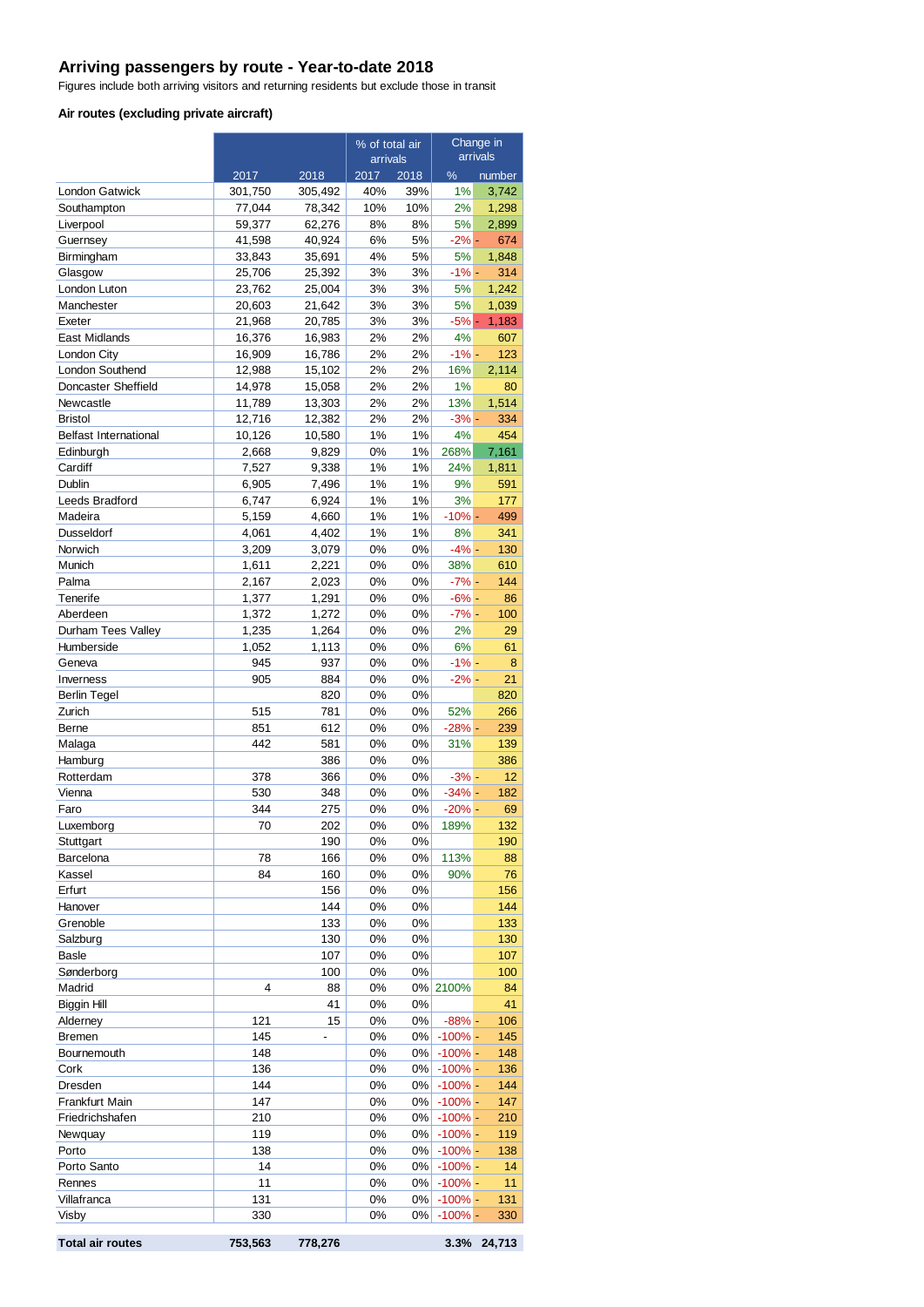### **Arriving passengers by route - Year-to-date 2018**

Figures include both arriving visitors and returning residents but exclude those in transit

#### **Air routes (excluding private aircraft)**

|                              |                   |                   | % of total air |             | Change in<br>arrivals    |                 |
|------------------------------|-------------------|-------------------|----------------|-------------|--------------------------|-----------------|
|                              |                   |                   | arrivals       |             |                          |                 |
| <b>London Gatwick</b>        | 2017              | 2018              | 2017<br>40%    | 2018<br>39% | %<br>1%                  | number<br>3,742 |
| Southampton                  | 301,750<br>77,044 | 305,492<br>78,342 | 10%            | 10%         | 2%                       | 1,298           |
| Liverpool                    | 59,377            | 62,276            | 8%             | 8%          | 5%                       | 2,899           |
| Guernsey                     | 41,598            | 40,924            | 6%             | 5%          | $-2\%$ -                 | 674             |
| Birmingham                   | 33,843            | 35,691            | 4%             | 5%          | 5%                       | 1,848           |
| Glasgow                      | 25,706            | 25,392            | 3%             | 3%          | -1% -                    | 314             |
| London Luton                 | 23,762            | 25,004            | 3%             | 3%          | 5%                       | 1,242           |
| Manchester                   | 20,603            | 21,642            | 3%             | 3%          | 5%                       | 1,039           |
| Exeter                       | 21,968            | 20,785            | 3%             | 3%          | $-5%$ -                  | 1,183           |
| East Midlands                | 16,376            | 16,983            | 2%             | 2%          | 4%                       | 607             |
| London City                  | 16,909            | 16,786            | 2%             | 2%          | $-1%$ -                  | 123             |
| London Southend              | 12,988            | 15,102            | 2%             | 2%          | 16%                      | 2,114           |
| Doncaster Sheffield          | 14,978            | 15,058            | 2%             | 2%          | 1%                       | 80              |
| Newcastle                    | 11,789            | 13,303            | 2%             | 2%          | 13%                      | 1,514           |
| <b>Bristol</b>               | 12,716            | 12,382            | 2%             | 2%          | $-3% -$                  | 334             |
| <b>Belfast International</b> | 10,126            | 10,580            | 1%             | 1%          | 4%                       | 454             |
| Edinburgh                    | 2,668             | 9,829             | 0%             | 1%          | 268%                     | 7,161           |
| Cardiff<br>Dublin            | 7,527             | 9,338             | 1%<br>1%       | 1%<br>1%    | 24%<br>9%                | 1,811<br>591    |
| Leeds Bradford               | 6,905<br>6,747    | 7,496<br>6,924    | 1%             | 1%          | 3%                       | 177             |
| Madeira                      | 5,159             | 4,660             | 1%             | 1%          | $-10% -$                 | 499             |
| <b>Dusseldorf</b>            | 4,061             | 4,402             | 1%             | 1%          | 8%                       | 341             |
| Norwich                      | 3,209             | 3,079             | 0%             | 0%          | $-4% -$                  | 130             |
| Munich                       | 1,611             | 2,221             | 0%             | 0%          | 38%                      | 610             |
| Palma                        | 2,167             | 2,023             | 0%             | 0%          | $-7% -$                  | 144             |
| Tenerife                     | 1,377             | 1,291             | 0%             | 0%          | $-6% -$                  | 86              |
| Aberdeen                     | 1,372             | 1,272             | 0%             | 0%          | $-7% -$                  | 100             |
| Durham Tees Valley           | 1,235             | 1,264             | 0%             | 0%          | 2%                       | 29              |
| Humberside                   | 1,052             | 1,113             | 0%             | 0%          | 6%                       | 61              |
| Geneva                       | 945               | 937               | 0%             | 0%          | $-1% -$                  | 8               |
| Inverness                    | 905               | 884               | 0%             | 0%          | $-2\%$ -                 | 21              |
| <b>Berlin Tegel</b>          |                   | 820               | 0%             | 0%          |                          | 820             |
| Zurich                       | 515               | 781               | 0%             | 0%          | 52%                      | 266             |
| Berne                        | 851               | 612               | 0%             | 0%          | $-28%$ -                 | 239             |
| Malaga                       | 442               | 581               | 0%             | 0%          | 31%                      | 139             |
| Hamburg                      |                   | 386               | 0%             | 0%          |                          | 386             |
| Rotterdam                    | 378               | 366               | 0%             | 0%          | $-3% -$                  | 12              |
| Vienna                       | 530               | 348               | 0%             | 0%          | $-34% -$                 | 182             |
| Faro                         | 344               | 275               | 0%             | 0%          | $-20% -$                 | 69              |
| Luxemborg                    | 70                | 202               | 0%             | 0%          | 189%                     | 132             |
| Stuttgart<br>Barcelona       | 78                | 190<br>166        | 0%<br>0%       | 0%<br>0%    | 113%                     | 190<br>88       |
| Kassel                       | 84                | 160               | 0%             | 0%          | 90%                      | 76              |
| Erfurt                       |                   | 156               | 0%             | 0%          |                          | 156             |
| Hanover                      |                   | 144               | 0%             | 0%          |                          | 144             |
| Grenoble                     |                   | 133               | 0%             | 0%          |                          | 133             |
| Salzburg                     |                   | 130               | 0%             | 0%          |                          | 130             |
| Basle                        |                   | 107               | 0%             | 0%          |                          | 107             |
| Sønderborg                   |                   | 100               | 0%             | 0%          |                          | 100             |
| Madrid                       | 4                 | 88                | 0%             |             | 0% 2100%                 | 84              |
| Biggin Hill                  |                   | 41                | 0%             | 0%          |                          | 41              |
| Alderney                     | 121               | 15                | 0%             | 0%          | $-88%$ -                 | 106             |
| Bremen                       | 145               |                   | 0%             | $0\%$       | $-100\%$ -               | 145             |
| Bournemouth                  | 148               |                   | 0%             | $0\%$       | $-100\%$ -               | 148             |
| Cork                         | 136               |                   | 0%             | $0\%$       | $-100\%$ -               | 136             |
| Dresden                      | 144               |                   | 0%             | 0%          | $-100\%$ -               | 144             |
| Frankfurt Main               | 147               |                   | 0%             | 0%          | $-100\%$ -               | 147             |
| Friedrichshafen              | 210               |                   | 0%             | $0\%$       | $-100\%$ -               | 210             |
| Newquay                      | 119               |                   | 0%             | $0\%$       | $-100\%$ -               | 119             |
| Porto                        | 138               |                   | 0%             | 0%          | $-100\%$ -               | 138             |
| Porto Santo                  | 14<br>11          |                   | 0%<br>0%       | $0\%$       | $-100\%$ -               | 14<br>11        |
| Rennes<br>Villafranca        | 131               |                   | 0%             | $0\%$<br>0% | $-100\%$ -<br>$-100\%$ - | 131             |
| Visby                        | 330               |                   | 0%             | 0%          | $-100\%$ -               | 330             |
|                              |                   |                   |                |             |                          |                 |
| <b>Total air routes</b>      | 753,563           | 778,276           |                |             | 3.3%                     | 24,713          |